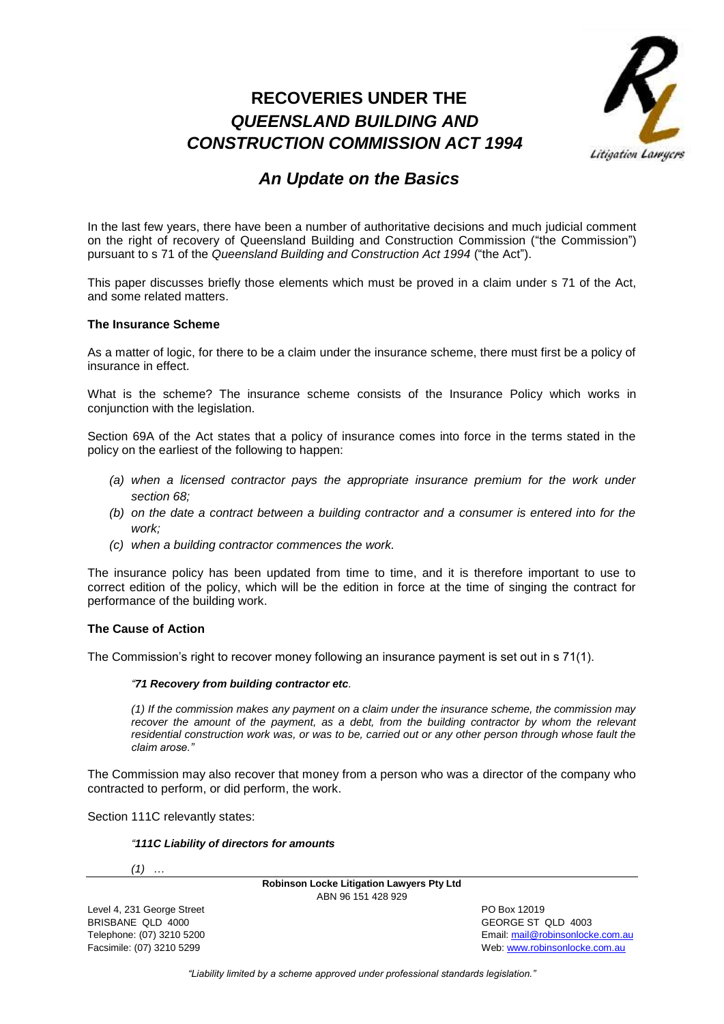# **RECOVERIES UNDER THE**  *QUEENSLAND BUILDING AND CONSTRUCTION COMMISSION ACT 1994*



# *An Update on the Basics*

In the last few years, there have been a number of authoritative decisions and much judicial comment on the right of recovery of Queensland Building and Construction Commission ("the Commission") pursuant to s 71 of the *Queensland Building and Construction Act 1994* ("the Act").

This paper discusses briefly those elements which must be proved in a claim under s 71 of the Act, and some related matters.

## **The Insurance Scheme**

As a matter of logic, for there to be a claim under the insurance scheme, there must first be a policy of insurance in effect.

What is the scheme? The insurance scheme consists of the Insurance Policy which works in conjunction with the legislation.

Section 69A of the Act states that a policy of insurance comes into force in the terms stated in the policy on the earliest of the following to happen:

- *(a) when a licensed contractor pays the appropriate insurance premium for the work under section 68;*
- *(b) on the date a contract between a building contractor and a consumer is entered into for the work;*
- *(c) when a building contractor commences the work.*

The insurance policy has been updated from time to time, and it is therefore important to use to correct edition of the policy, which will be the edition in force at the time of singing the contract for performance of the building work.

## **The Cause of Action**

The Commission's right to recover money following an insurance payment is set out in s 71(1).

## *"71 Recovery from building contractor etc.*

*(1) If the commission makes any payment on a claim under the insurance scheme, the commission may*  recover the amount of the payment, as a debt, from the building contractor by whom the relevant *residential construction work was, or was to be, carried out or any other person through whose fault the claim arose."*

The Commission may also recover that money from a person who was a director of the company who contracted to perform, or did perform, the work.

Section 111C relevantly states:

### *"111C Liability of directors for amounts*

*(1) …*

**Robinson Locke Litigation Lawyers Pty Ltd** ABN 96 151 428 929

Level 4, 231 George Street **PO Box 12019** BRISBANE QLD 4000 GEORGE ST QLD 4003

Telephone: (07) 3210 5200 Email[: mail@robinsonlocke.com.au](mailto:mail@robinsonlocke.com.au) Facsimile: (07) 3210 5299 Web: [www.robinsonlocke.com.au](http://www.robinsonlocke.com.au/)

*"Liability limited by a scheme approved under professional standards legislation."*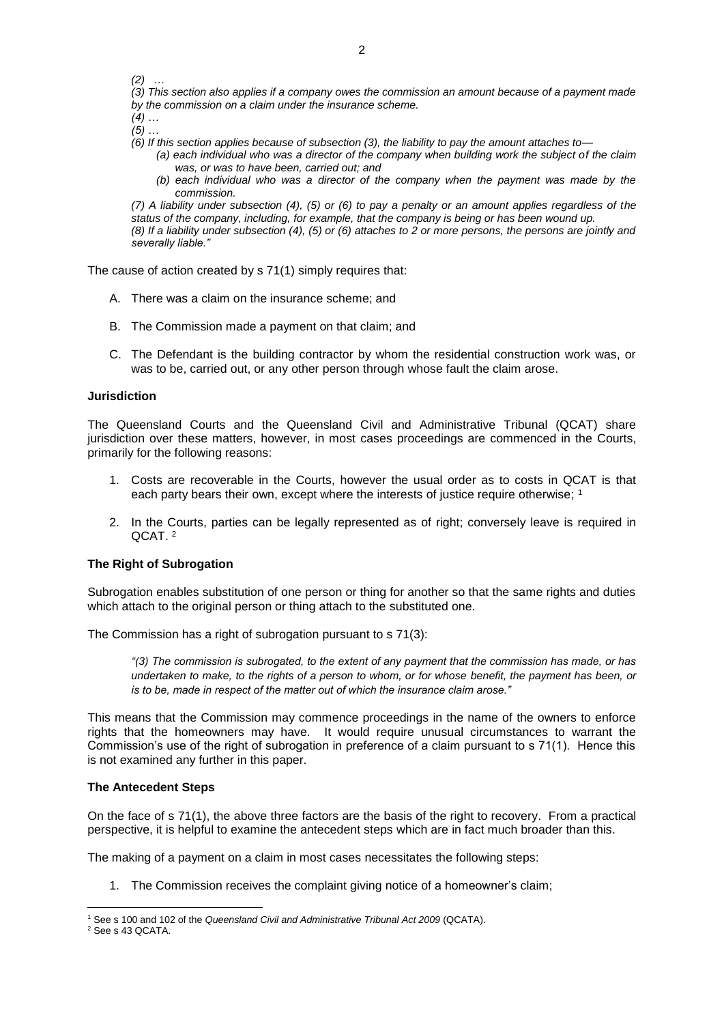*(2) …*

*(3) This section also applies if a company owes the commission an amount because of a payment made by the commission on a claim under the insurance scheme.*

*(4) …*

- *(5) …*
- *(6) If this section applies because of subsection (3), the liability to pay the amount attaches to—*
	- *(a) each individual who was a director of the company when building work the subject of the claim was, or was to have been, carried out; and*
	- *(b) each individual who was a director of the company when the payment was made by the commission.*

*(7) A liability under subsection (4), (5) or (6) to pay a penalty or an amount applies regardless of the status of the company, including, for example, that the company is being or has been wound up. (8) If a liability under subsection (4), (5) or (6) attaches to 2 or more persons, the persons are jointly and severally liable."*

The cause of action created by s 71(1) simply requires that:

- A. There was a claim on the insurance scheme; and
- B. The Commission made a payment on that claim; and
- C. The Defendant is the building contractor by whom the residential construction work was, or was to be, carried out, or any other person through whose fault the claim arose.

## **Jurisdiction**

The Queensland Courts and the Queensland Civil and Administrative Tribunal (QCAT) share jurisdiction over these matters, however, in most cases proceedings are commenced in the Courts, primarily for the following reasons:

- 1. Costs are recoverable in the Courts, however the usual order as to costs in QCAT is that each party bears their own, except where the interests of justice require otherwise; 1
- 2. In the Courts, parties can be legally represented as of right; conversely leave is required in QCAT. <sup>2</sup>

## **The Right of Subrogation**

Subrogation enables substitution of one person or thing for another so that the same rights and duties which attach to the original person or thing attach to the substituted one.

The Commission has a right of subrogation pursuant to s 71(3):

*"(3) The commission is subrogated, to the extent of any payment that the commission has made, or has undertaken to make, to the rights of a person to whom, or for whose benefit, the payment has been, or is to be, made in respect of the matter out of which the insurance claim arose."*

This means that the Commission may commence proceedings in the name of the owners to enforce rights that the homeowners may have. It would require unusual circumstances to warrant the Commission's use of the right of subrogation in preference of a claim pursuant to s 71(1). Hence this is not examined any further in this paper.

## **The Antecedent Steps**

On the face of s 71(1), the above three factors are the basis of the right to recovery. From a practical perspective, it is helpful to examine the antecedent steps which are in fact much broader than this.

The making of a payment on a claim in most cases necessitates the following steps:

1. The Commission receives the complaint giving notice of a homeowner's claim;

<sup>1</sup> <sup>1</sup> See s 100 and 102 of the *Queensland Civil and Administrative Tribunal Act 2009* (QCATA).

<sup>2</sup> See s 43 QCATA.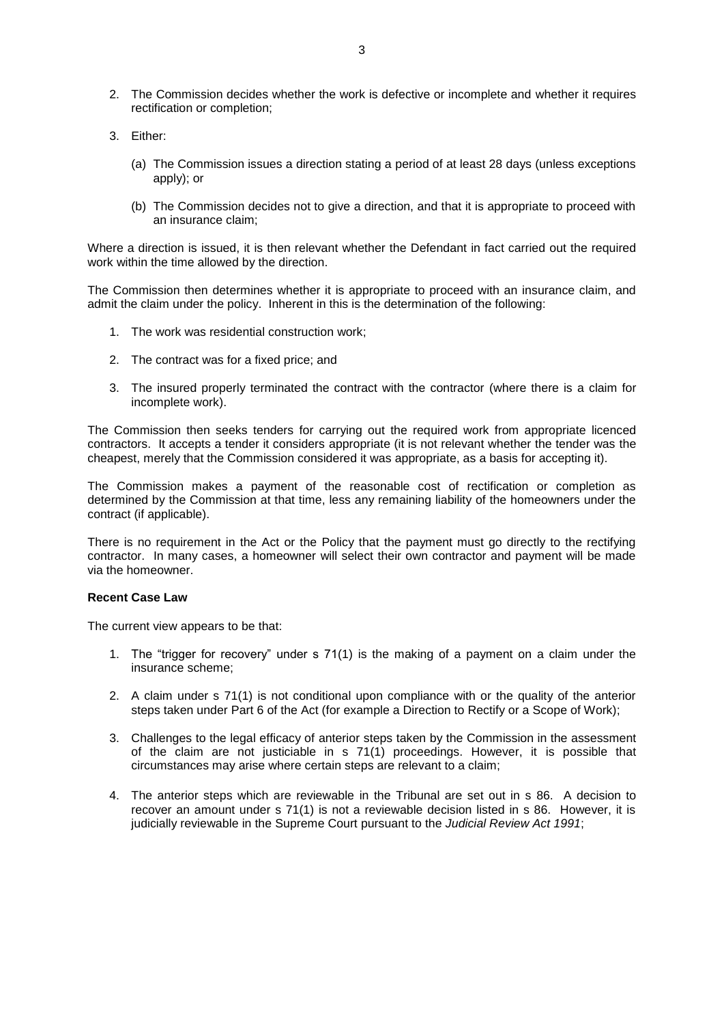- 2. The Commission decides whether the work is defective or incomplete and whether it requires rectification or completion;
- 3. Either:
	- (a) The Commission issues a direction stating a period of at least 28 days (unless exceptions apply); or
	- (b) The Commission decides not to give a direction, and that it is appropriate to proceed with an insurance claim;

Where a direction is issued, it is then relevant whether the Defendant in fact carried out the required work within the time allowed by the direction.

The Commission then determines whether it is appropriate to proceed with an insurance claim, and admit the claim under the policy. Inherent in this is the determination of the following:

- 1. The work was residential construction work;
- 2. The contract was for a fixed price; and
- 3. The insured properly terminated the contract with the contractor (where there is a claim for incomplete work).

The Commission then seeks tenders for carrying out the required work from appropriate licenced contractors. It accepts a tender it considers appropriate (it is not relevant whether the tender was the cheapest, merely that the Commission considered it was appropriate, as a basis for accepting it).

The Commission makes a payment of the reasonable cost of rectification or completion as determined by the Commission at that time, less any remaining liability of the homeowners under the contract (if applicable).

There is no requirement in the Act or the Policy that the payment must go directly to the rectifying contractor. In many cases, a homeowner will select their own contractor and payment will be made via the homeowner.

## **Recent Case Law**

The current view appears to be that:

- 1. The "trigger for recovery" under s 71(1) is the making of a payment on a claim under the insurance scheme;
- 2. A claim under s 71(1) is not conditional upon compliance with or the quality of the anterior steps taken under Part 6 of the Act (for example a Direction to Rectify or a Scope of Work);
- 3. Challenges to the legal efficacy of anterior steps taken by the Commission in the assessment of the claim are not justiciable in s 71(1) proceedings. However, it is possible that circumstances may arise where certain steps are relevant to a claim;
- 4. The anterior steps which are reviewable in the Tribunal are set out in s 86. A decision to recover an amount under s 71(1) is not a reviewable decision listed in s 86. However, it is judicially reviewable in the Supreme Court pursuant to the *Judicial Review Act 1991*;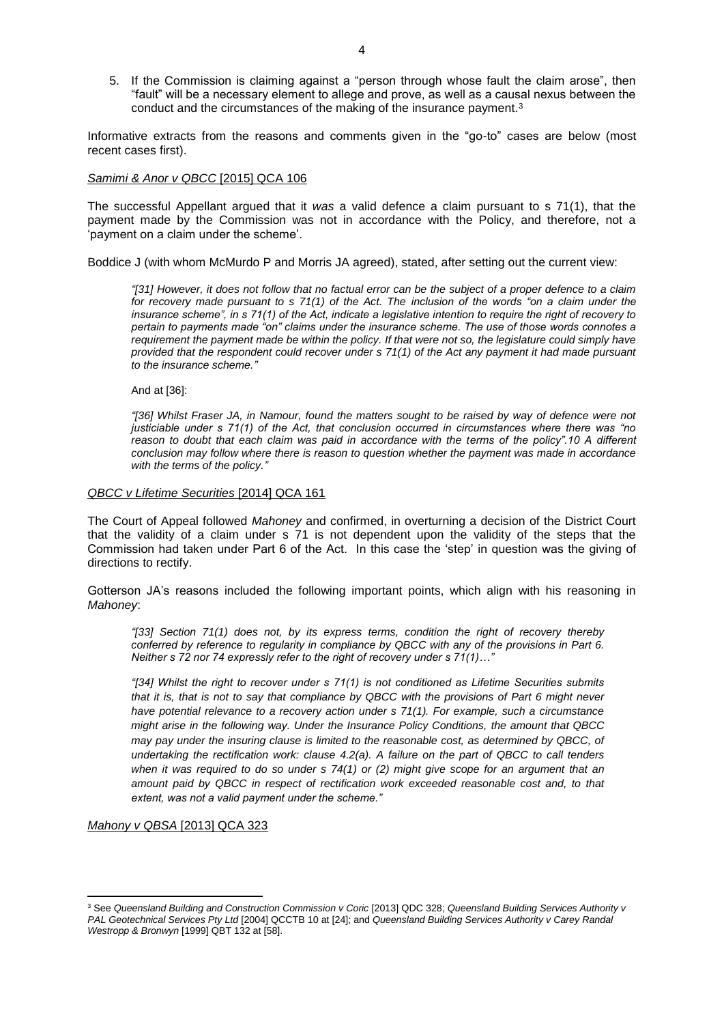5. If the Commission is claiming against a "person through whose fault the claim arose", then "fault" will be a necessary element to allege and prove, as well as a causal nexus between the conduct and the circumstances of the making of the insurance payment.<sup>3</sup>

Informative extracts from the reasons and comments given in the "go-to" cases are below (most recent cases first).

### *Samimi & Anor v QBCC* [2015] QCA 106

The successful Appellant argued that it *was* a valid defence a claim pursuant to s 71(1), that the payment made by the Commission was not in accordance with the Policy, and therefore, not a 'payment on a claim under the scheme'.

Boddice J (with whom McMurdo P and Morris JA agreed), stated, after setting out the current view:

*"[31] However, it does not follow that no factual error can be the subject of a proper defence to a claim for recovery made pursuant to s 71(1) of the Act. The inclusion of the words "on a claim under the insurance scheme", in s 71(1) of the Act, indicate a legislative intention to require the right of recovery to pertain to payments made "on" claims under the insurance scheme. The use of those words connotes a requirement the payment made be within the policy. If that were not so, the legislature could simply have provided that the respondent could recover under s 71(1) of the Act any payment it had made pursuant to the insurance scheme."*

And at [36]:

*"[36] Whilst Fraser JA, in Namour, found the matters sought to be raised by way of defence were not justiciable under s 71(1) of the Act, that conclusion occurred in circumstances where there was "no*  reason to doubt that each claim was paid in accordance with the terms of the policy".10 A different *conclusion may follow where there is reason to question whether the payment was made in accordance with the terms of the policy."*

### *QBCC v Lifetime Securities* [2014] QCA 161

The Court of Appeal followed *Mahoney* and confirmed, in overturning a decision of the District Court that the validity of a claim under s 71 is not dependent upon the validity of the steps that the Commission had taken under Part 6 of the Act. In this case the 'step' in question was the giving of directions to rectify.

Gotterson JA's reasons included the following important points, which align with his reasoning in *Mahoney*:

*"[33] Section 71(1) does not, by its express terms, condition the right of recovery thereby conferred by reference to regularity in compliance by QBCC with any of the provisions in Part 6. Neither s 72 nor 74 expressly refer to the right of recovery under s 71(1)…"*

*"[34] Whilst the right to recover under s 71(1) is not conditioned as Lifetime Securities submits that it is, that is not to say that compliance by QBCC with the provisions of Part 6 might never have potential relevance to a recovery action under s 71(1). For example, such a circumstance might arise in the following way. Under the Insurance Policy Conditions, the amount that QBCC may pay under the insuring clause is limited to the reasonable cost, as determined by QBCC, of undertaking the rectification work: clause 4.2(a). A failure on the part of QBCC to call tenders when it was required to do so under s 74(1) or (2) might give scope for an argument that an amount paid by QBCC in respect of rectification work exceeded reasonable cost and, to that extent, was not a valid payment under the scheme."*

*Mahony v QBSA* [2013] QCA 323

**.** 

<sup>3</sup> See *Queensland Building and Construction Commission v Coric* [2013] QDC 328; *Queensland Building Services Authority v PAL Geotechnical Services Pty Ltd* [2004] QCCTB 10 at [24]; and *Queensland Building Services Authority v Carey Randal Westropp & Bronwyn* [1999] QBT 132 at [58].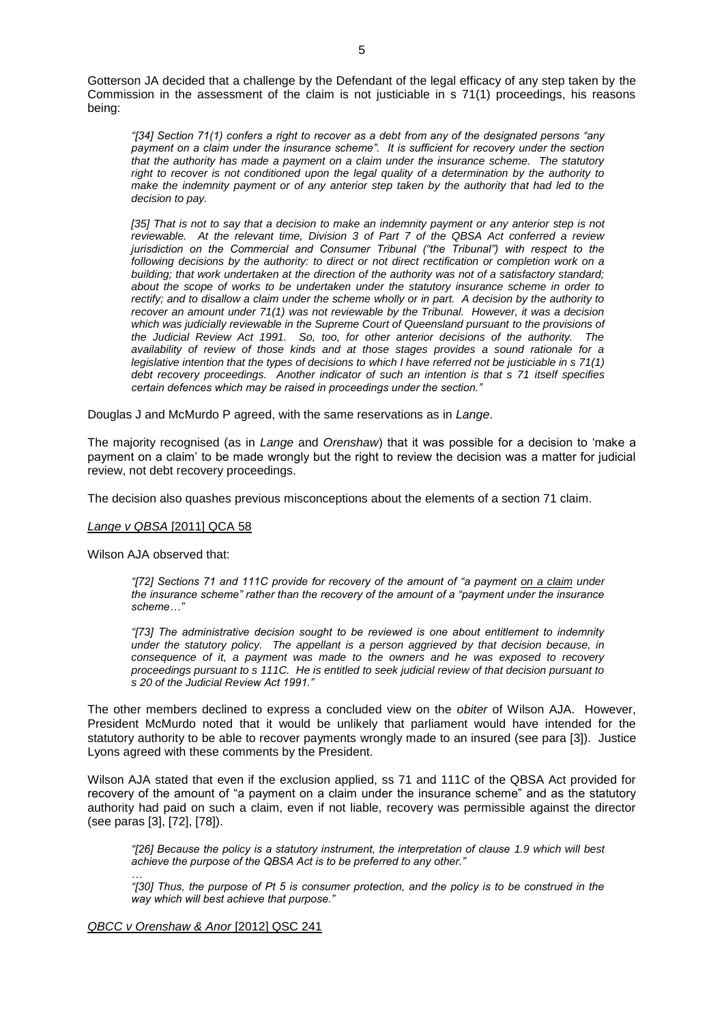Gotterson JA decided that a challenge by the Defendant of the legal efficacy of any step taken by the Commission in the assessment of the claim is not justiciable in s 71(1) proceedings, his reasons being:

*"[34] Section 71(1) confers a right to recover as a debt from any of the designated persons "any payment on a claim under the insurance scheme". It is sufficient for recovery under the section that the authority has made a payment on a claim under the insurance scheme. The statutory right to recover is not conditioned upon the legal quality of a determination by the authority to make the indemnity payment or of any anterior step taken by the authority that had led to the decision to pay.*

[35] That is not to say that a decision to make an indemnity payment or any anterior step is not *reviewable. At the relevant time, Division 3 of Part 7 of the QBSA Act conferred a review jurisdiction on the Commercial and Consumer Tribunal ("the Tribunal") with respect to the following decisions by the authority: to direct or not direct rectification or completion work on a building; that work undertaken at the direction of the authority was not of a satisfactory standard; about the scope of works to be undertaken under the statutory insurance scheme in order to rectify; and to disallow a claim under the scheme wholly or in part. A decision by the authority to recover an amount under 71(1) was not reviewable by the Tribunal. However, it was a decision which was judicially reviewable in the Supreme Court of Queensland pursuant to the provisions of the Judicial Review Act 1991. So, too, for other anterior decisions of the authority. The availability of review of those kinds and at those stages provides a sound rationale for a legislative intention that the types of decisions to which I have referred not be justiciable in s 71(1) debt recovery proceedings. Another indicator of such an intention is that s 71 itself specifies certain defences which may be raised in proceedings under the section."*

Douglas J and McMurdo P agreed, with the same reservations as in *Lange*.

The majority recognised (as in *Lange* and *Orenshaw*) that it was possible for a decision to 'make a payment on a claim' to be made wrongly but the right to review the decision was a matter for judicial review, not debt recovery proceedings.

The decision also quashes previous misconceptions about the elements of a section 71 claim.

#### *Lange v QBSA* [2011] QCA 58

Wilson AJA observed that:

*"[72] Sections 71 and 111C provide for recovery of the amount of "a payment on a claim under the insurance scheme" rather than the recovery of the amount of a "payment under the insurance scheme…"*

*"[73] The administrative decision sought to be reviewed is one about entitlement to indemnity under the statutory policy. The appellant is a person aggrieved by that decision because, in consequence of it, a payment was made to the owners and he was exposed to recovery proceedings pursuant to s 111C. He is entitled to seek judicial review of that decision pursuant to s 20 of the Judicial Review Act 1991."*

The other members declined to express a concluded view on the *obiter* of Wilson AJA. However, President McMurdo noted that it would be unlikely that parliament would have intended for the statutory authority to be able to recover payments wrongly made to an insured (see para [3]).Justice Lyons agreed with these comments by the President.

Wilson AJA stated that even if the exclusion applied, ss 71 and 111C of the QBSA Act provided for recovery of the amount of "a payment on a claim under the insurance scheme" and as the statutory authority had paid on such a claim, even if not liable, recovery was permissible against the director (see paras [3], [72], [78]).

*"[26] Because the policy is a statutory instrument, the interpretation of clause 1.9 which will best achieve the purpose of the QBSA Act is to be preferred to any other."*

*… "[30] Thus, the purpose of Pt 5 is consumer protection, and the policy is to be construed in the way which will best achieve that purpose."*

*QBCC v Orenshaw & Anor* [2012] QSC 241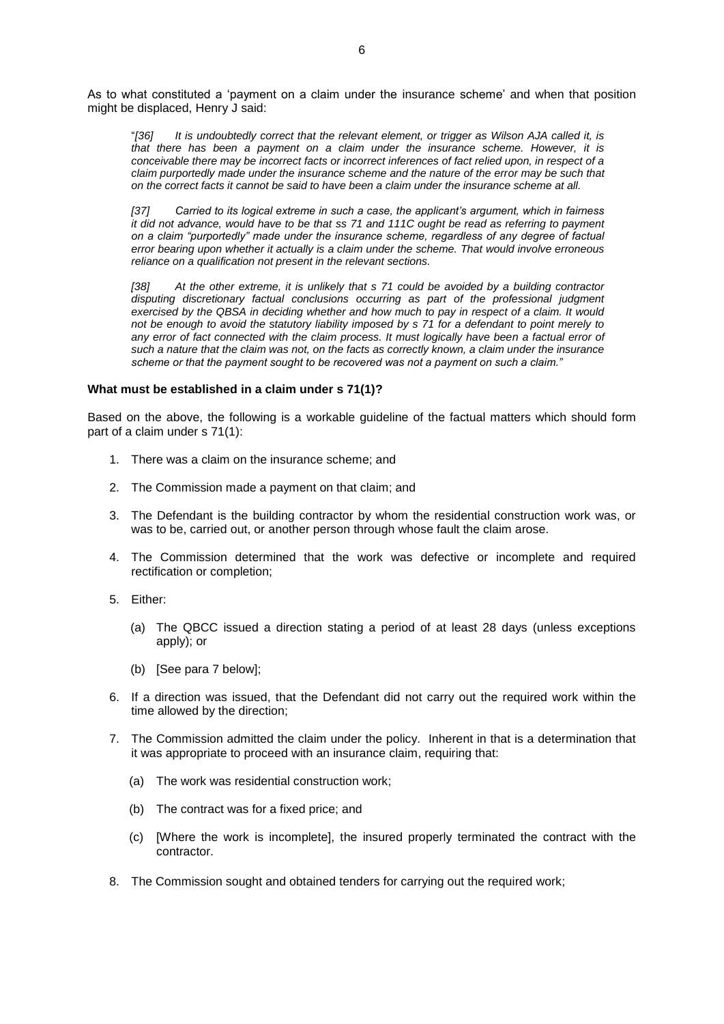As to what constituted a 'payment on a claim under the insurance scheme' and when that position might be displaced, Henry J said:

"*[36] It is undoubtedly correct that the relevant element, or trigger as Wilson AJA called it, is that there has been a payment on a claim under the insurance scheme. However, it is conceivable there may be incorrect facts or incorrect inferences of fact relied upon, in respect of a claim purportedly made under the insurance scheme and the nature of the error may be such that on the correct facts it cannot be said to have been a claim under the insurance scheme at all.*

*[37] Carried to its logical extreme in such a case, the applicant's argument, which in fairness it did not advance, would have to be that ss 71 and 111C ought be read as referring to payment on a claim "purportedly" made under the insurance scheme, regardless of any degree of factual error bearing upon whether it actually is a claim under the scheme. That would involve erroneous reliance on a qualification not present in the relevant sections.*

*[38] At the other extreme, it is unlikely that s 71 could be avoided by a building contractor*  disputing discretionary factual conclusions occurring as part of the professional judgment *exercised by the QBSA in deciding whether and how much to pay in respect of a claim. It would not be enough to avoid the statutory liability imposed by s 71 for a defendant to point merely to*  any error of fact connected with the claim process. It must logically have been a factual error of *such a nature that the claim was not, on the facts as correctly known, a claim under the insurance scheme or that the payment sought to be recovered was not a payment on such a claim."*

### **What must be established in a claim under s 71(1)?**

Based on the above, the following is a workable guideline of the factual matters which should form part of a claim under s 71(1):

- 1. There was a claim on the insurance scheme; and
- 2. The Commission made a payment on that claim; and
- 3. The Defendant is the building contractor by whom the residential construction work was, or was to be, carried out, or another person through whose fault the claim arose.
- 4. The Commission determined that the work was defective or incomplete and required rectification or completion;
- 5. Either:
	- (a) The QBCC issued a direction stating a period of at least 28 days (unless exceptions apply); or
	- (b) [See para 7 below];
- 6. If a direction was issued, that the Defendant did not carry out the required work within the time allowed by the direction;
- 7. The Commission admitted the claim under the policy. Inherent in that is a determination that it was appropriate to proceed with an insurance claim, requiring that:
	- (a) The work was residential construction work;
	- (b) The contract was for a fixed price; and
	- (c) [Where the work is incomplete], the insured properly terminated the contract with the contractor.
- 8. The Commission sought and obtained tenders for carrying out the required work;